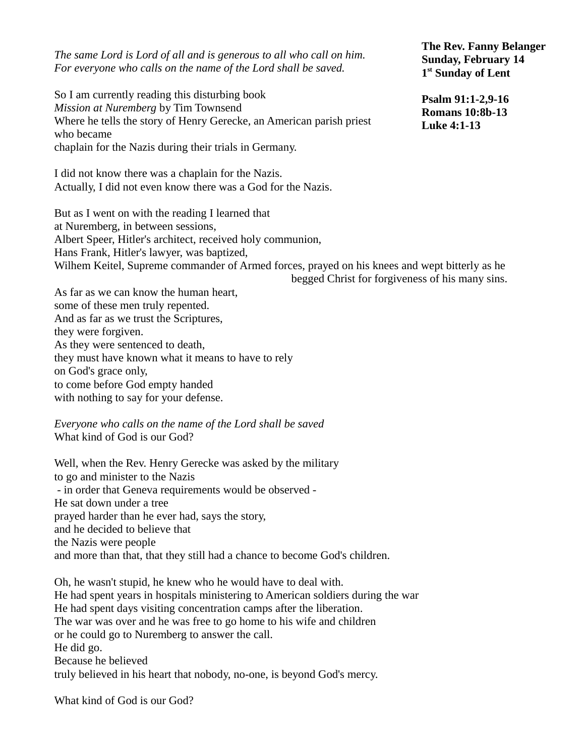*The same Lord is Lord of all and is generous to all who call on him. For everyone who calls on the name of the Lord shall be saved.*

So I am currently reading this disturbing book *Mission at Nuremberg* by Tim Townsend Where he tells the story of Henry Gerecke, an American parish priest who became chaplain for the Nazis during their trials in Germany.

I did not know there was a chaplain for the Nazis. Actually, I did not even know there was a God for the Nazis.

But as I went on with the reading I learned that at Nuremberg, in between sessions, Albert Speer, Hitler's architect, received holy communion, Hans Frank, Hitler's lawyer, was baptized, Wilhem Keitel, Supreme commander of Armed forces, prayed on his knees and wept bitterly as he begged Christ for forgiveness of his many sins.

As far as we can know the human heart, some of these men truly repented. And as far as we trust the Scriptures, they were forgiven. As they were sentenced to death, they must have known what it means to have to rely on God's grace only, to come before God empty handed with nothing to say for your defense.

*Everyone who calls on the name of the Lord shall be saved* What kind of God is our God?

Well, when the Rev. Henry Gerecke was asked by the military to go and minister to the Nazis - in order that Geneva requirements would be observed - He sat down under a tree prayed harder than he ever had, says the story, and he decided to believe that the Nazis were people and more than that, that they still had a chance to become God's children.

Oh, he wasn't stupid, he knew who he would have to deal with. He had spent years in hospitals ministering to American soldiers during the war He had spent days visiting concentration camps after the liberation. The war was over and he was free to go home to his wife and children or he could go to Nuremberg to answer the call. He did go. Because he believed truly believed in his heart that nobody, no-one, is beyond God's mercy.

What kind of God is our God?

**The Rev. Fanny Belanger Sunday, February 14 1 st Sunday of Lent**

**Psalm 91:1-2,9-16 Romans 10:8b-13 Luke 4:1-13**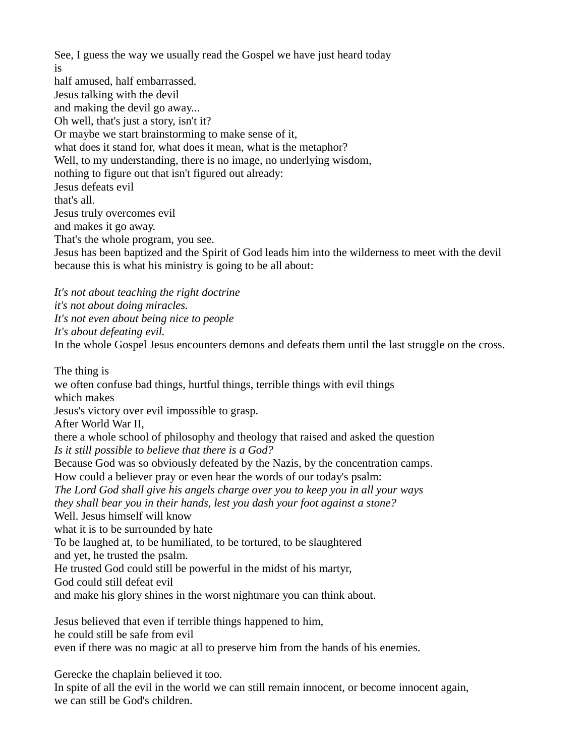See, I guess the way we usually read the Gospel we have just heard today is half amused, half embarrassed. Jesus talking with the devil and making the devil go away... Oh well, that's just a story, isn't it? Or maybe we start brainstorming to make sense of it, what does it stand for, what does it mean, what is the metaphor? Well, to my understanding, there is no image, no underlying wisdom, nothing to figure out that isn't figured out already: Jesus defeats evil that's all. Jesus truly overcomes evil and makes it go away. That's the whole program, you see. Jesus has been baptized and the Spirit of God leads him into the wilderness to meet with the devil because this is what his ministry is going to be all about:

*It's not about teaching the right doctrine it's not about doing miracles. It's not even about being nice to people It's about defeating evil.*  In the whole Gospel Jesus encounters demons and defeats them until the last struggle on the cross.

The thing is we often confuse bad things, hurtful things, terrible things with evil things which makes Jesus's victory over evil impossible to grasp. After World War II, there a whole school of philosophy and theology that raised and asked the question *Is it still possible to believe that there is a God?* Because God was so obviously defeated by the Nazis, by the concentration camps. How could a believer pray or even hear the words of our today's psalm: *The Lord God shall give his angels charge over you to keep you in all your ways they shall bear you in their hands, lest you dash your foot against a stone?* Well. Jesus himself will know what it is to be surrounded by hate To be laughed at, to be humiliated, to be tortured, to be slaughtered and yet, he trusted the psalm. He trusted God could still be powerful in the midst of his martyr, God could still defeat evil and make his glory shines in the worst nightmare you can think about. Jesus believed that even if terrible things happened to him,

he could still be safe from evil even if there was no magic at all to preserve him from the hands of his enemies.

Gerecke the chaplain believed it too.

In spite of all the evil in the world we can still remain innocent, or become innocent again, we can still be God's children.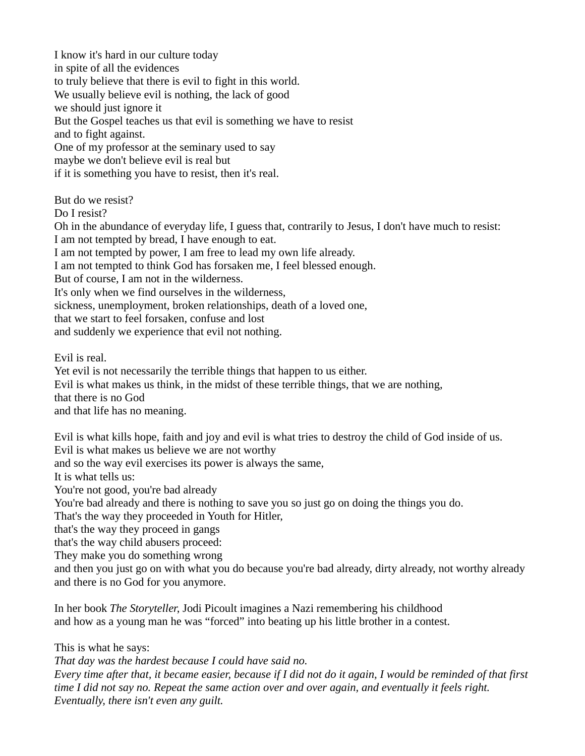I know it's hard in our culture today in spite of all the evidences to truly believe that there is evil to fight in this world. We usually believe evil is nothing, the lack of good we should just ignore it But the Gospel teaches us that evil is something we have to resist and to fight against. One of my professor at the seminary used to say maybe we don't believe evil is real but if it is something you have to resist, then it's real.

But do we resist?

Do I resist?

Oh in the abundance of everyday life, I guess that, contrarily to Jesus, I don't have much to resist: I am not tempted by bread, I have enough to eat.

I am not tempted by power, I am free to lead my own life already.

I am not tempted to think God has forsaken me, I feel blessed enough.

But of course, I am not in the wilderness.

It's only when we find ourselves in the wilderness,

sickness, unemployment, broken relationships, death of a loved one,

that we start to feel forsaken, confuse and lost

and suddenly we experience that evil not nothing.

Evil is real.

Yet evil is not necessarily the terrible things that happen to us either.

Evil is what makes us think, in the midst of these terrible things, that we are nothing,

that there is no God

and that life has no meaning.

Evil is what kills hope, faith and joy and evil is what tries to destroy the child of God inside of us. Evil is what makes us believe we are not worthy

and so the way evil exercises its power is always the same,

It is what tells us:

You're not good, you're bad already

You're bad already and there is nothing to save you so just go on doing the things you do.

That's the way they proceeded in Youth for Hitler,

that's the way they proceed in gangs

that's the way child abusers proceed:

They make you do something wrong

and then you just go on with what you do because you're bad already, dirty already, not worthy already and there is no God for you anymore.

In her book *The Storyteller*, Jodi Picoult imagines a Nazi remembering his childhood and how as a young man he was "forced" into beating up his little brother in a contest.

This is what he says:

*That day was the hardest because I could have said no.* 

*Every time after that, it became easier, because if I did not do it again, I would be reminded of that first time I did not say no. Repeat the same action over and over again, and eventually it feels right. Eventually, there isn't even any guilt.*